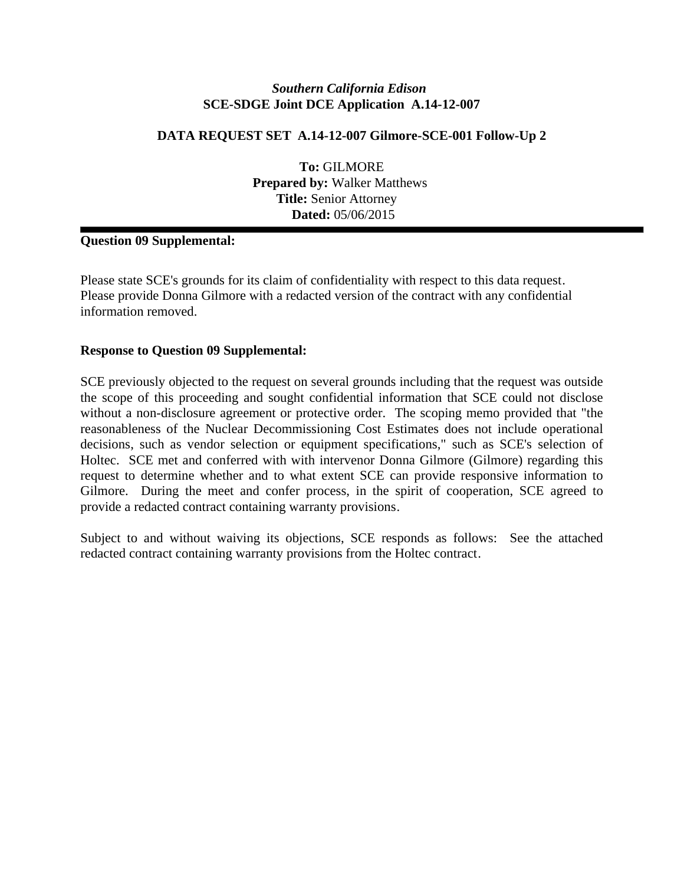# **DATA REQUEST SET A.14-12-007 Gilmore-SCE-001 Follow-Up 2**

**To:** GILMORE **Prepared by:** Walker Matthews **Title:** Senior Attorney  **Dated:** 05/06/2015

# **Question 09 Supplemental:**

Please state SCE's grounds for its claim of confidentiality with respect to this data request. Please provide Donna Gilmore with a redacted version of the contract with any confidential information removed.

#### **Response to Question 09 Supplemental:**

SCE previously objected to the request on several grounds including that the request was outside the scope of this proceeding and sought confidential information that SCE could not disclose without a non-disclosure agreement or protective order. The scoping memo provided that "the reasonableness of the Nuclear Decommissioning Cost Estimates does not include operational decisions, such as vendor selection or equipment specifications," such as SCE's selection of Holtec. SCE met and conferred with with intervenor Donna Gilmore (Gilmore) regarding this request to determine whether and to what extent SCE can provide responsive information to Gilmore. During the meet and confer process, in the spirit of cooperation, SCE agreed to provide a redacted contract containing warranty provisions.

Subject to and without waiving its objections, SCE responds as follows: See the attached redacted contract containing warranty provisions from the Holtec contract.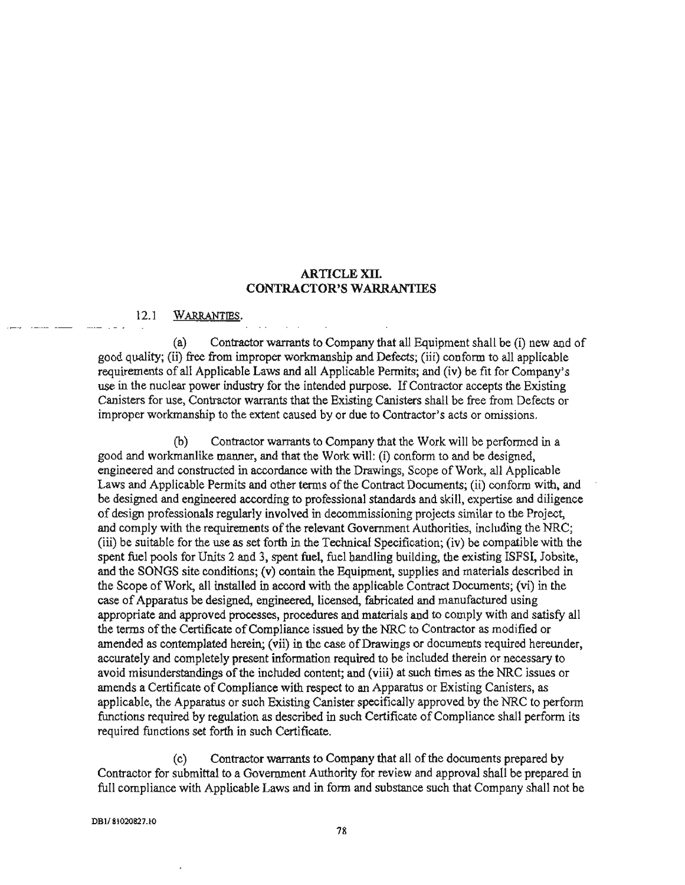#### **ARTICLE XII. CONTRACTOR'S WARRANTIES**

#### $12.1$ WARRANTIES.

Contractor warrants to Company that all Equipment shall be (i) new and of  $(a)$ good quality; (ii) free from improper workmanship and Defects; (iii) conform to all applicable requirements of all Applicable Laws and all Applicable Permits; and (iv) be fit for Company's use in the nuclear power industry for the intended purpose. If Contractor accepts the Existing Canisters for use, Contractor warrants that the Existing Canisters shall be free from Defects or improper workmanship to the extent caused by or due to Contractor's acts or omissions.

Contractor warrants to Company that the Work will be performed in a (b) good and workmanlike manner, and that the Work will: (i) conform to and be designed, engineered and constructed in accordance with the Drawings, Scope of Work, all Applicable Laws and Applicable Permits and other terms of the Contract Documents; (ii) conform with, and be designed and engineered according to professional standards and skill, expertise and diligence of design professionals regularly involved in decommissioning projects similar to the Project. and comply with the requirements of the relevant Government Authorities, including the NRC; (iii) be suitable for the use as set forth in the Technical Specification; (iv) be compatible with the spent fuel pools for Units 2 and 3, spent fuel, fuel handling building, the existing ISFSI, Jobsite, and the SONGS site conditions; (v) contain the Equipment, supplies and materials described in the Scope of Work, all installed in accord with the applicable Contract Documents; (vi) in the case of Apparatus be designed, engineered, licensed, fabricated and manufactured using appropriate and approved processes, procedures and materials and to comply with and satisfy all the terms of the Certificate of Compliance issued by the NRC to Contractor as modified or amended as contemplated herein; (vii) in the case of Drawings or documents required hereunder, accurately and completely present information required to be included therein or necessary to avoid misunderstandings of the included content; and (viii) at such times as the NRC issues or amends a Certificate of Compliance with respect to an Apparatus or Existing Canisters, as applicable, the Apparatus or such Existing Canister specifically approved by the NRC to perform functions required by regulation as described in such Certificate of Compliance shall perform its required functions set forth in such Certificate.

 $(c)$ Contractor warrants to Company that all of the documents prepared by Contractor for submittal to a Government Authority for review and approval shall be prepared in full compliance with Applicable Laws and in form and substance such that Company shall not be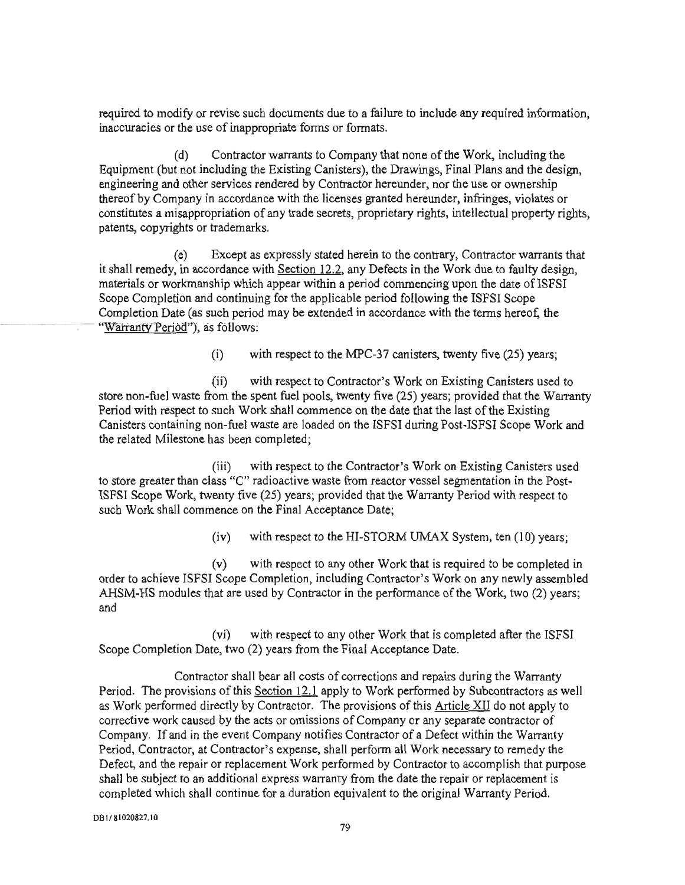required to modify or revise such documents due to a failure to include any required information, inaccuracies or the use of inappropriate forms or formats.

Contractor warrants to Company that none of the Work, including the  $(d)$ Equipment (but not including the Existing Canisters), the Drawings, Final Plans and the design, engineering and other services rendered by Contractor hereunder, nor the use or ownership thereof by Company in accordance with the licenses granted hereunder, infringes, violates or constitutes a misappropriation of any trade secrets, proprietary rights, intellectual property rights, patents, copyrights or trademarks.

Except as expressly stated herein to the contrary, Contractor warrants that  $(e)$ it shall remedy, in accordance with Section 12.2, any Defects in the Work due to faulty design, materials or workmanship which appear within a period commencing upon the date of ISFSI Scope Completion and continuing for the applicable period following the ISFSI Scope Completion Date (as such period may be extended in accordance with the terms hereof, the "Warranty Period"), as follows:

> with respect to the MPC-37 canisters, twenty five (25) years;  $(i)$

 $(ii)$ with respect to Contractor's Work on Existing Canisters used to store non-fuel waste from the spent fuel pools, twenty five (25) years; provided that the Warranty Period with respect to such Work shall commence on the date that the last of the Existing Canisters containing non-fuel waste are loaded on the ISFSI during Post-ISFSI Scope Work and the related Milestone has been completed;

with respect to the Contractor's Work on Existing Canisters used  $(iii)$ to store greater than class "C" radioactive waste from reactor vessel segmentation in the Post-ISFSI Scope Work, twenty five (25) years; provided that the Warranty Period with respect to such Work shall commence on the Final Acceptance Date;

> $(iv)$ with respect to the HI-STORM UMAX System, ten (10) years;

with respect to any other Work that is required to be completed in  $(v)$ order to achieve ISFSI Scope Completion, including Contractor's Work on any newly assembled AHSM-HS modules that are used by Contractor in the performance of the Work, two (2) years; and

with respect to any other Work that is completed after the ISFSI  $(vi)$ Scope Completion Date, two (2) years from the Final Acceptance Date.

Contractor shall bear all costs of corrections and repairs during the Warranty Period. The provisions of this Section 12.1 apply to Work performed by Subcontractors as well as Work performed directly by Contractor. The provisions of this Article XII do not apply to corrective work caused by the acts or omissions of Company or any separate contractor of Company. If and in the event Company notifies Contractor of a Defect within the Warranty Period, Contractor, at Contractor's expense, shall perform all Work necessary to remedy the Defect, and the repair or replacement Work performed by Contractor to accomplish that purpose shall be subject to an additional express warranty from the date the repair or replacement is completed which shall continue for a duration equivalent to the original Warranty Period.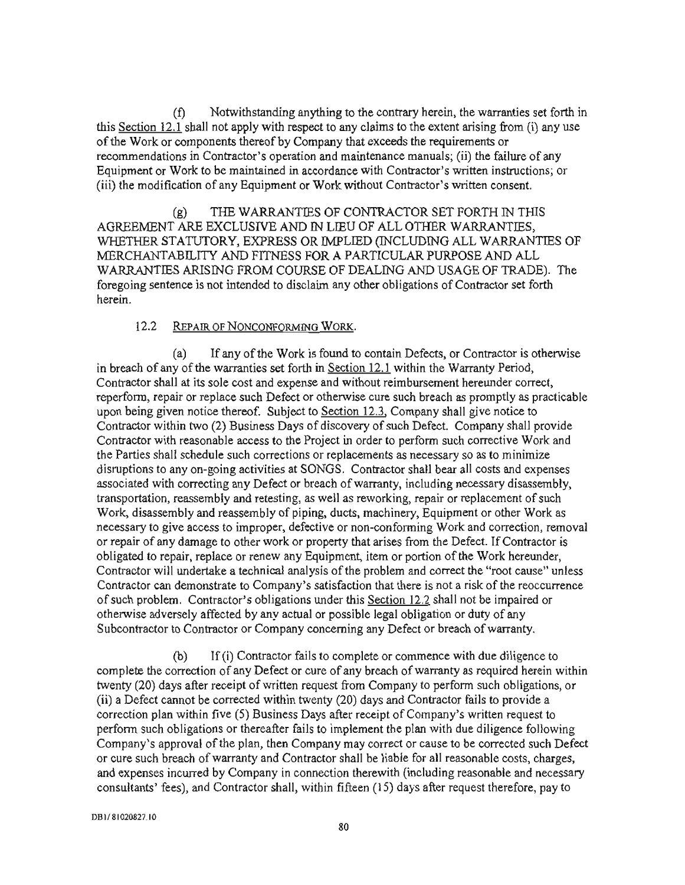Notwithstanding anything to the contrary herein, the warranties set forth in (f) this Section 12.1 shall not apply with respect to any claims to the extent arising from (i) any use of the Work or components thereof by Company that exceeds the requirements or recommendations in Contractor's operation and maintenance manuals; (ii) the failure of any Equipment or Work to be maintained in accordance with Contractor's written instructions; or (iii) the modification of any Equipment or Work without Contractor's written consent.

THE WARRANTIES OF CONTRACTOR SET FORTH IN THIS  $(g)$ AGREEMENT ARE EXCLUSIVE AND IN LIEU OF ALL OTHER WARRANTIES, WHETHER STATUTORY, EXPRESS OR IMPLIED (INCLUDING ALL WARRANTIES OF MERCHANTABILITY AND FITNESS FOR A PARTICULAR PURPOSE AND ALL WARRANTIES ARISING FROM COURSE OF DEALING AND USAGE OF TRADE). The foregoing sentence is not intended to disclaim any other obligations of Contractor set forth herein

#### $12.2$ REPAIR OF NONCONFORMING WORK.

If any of the Work is found to contain Defects, or Contractor is otherwise  $(a)$ in breach of any of the warranties set forth in Section 12.1 within the Warranty Period, Contractor shall at its sole cost and expense and without reimbursement hereunder correct, reperform, repair or replace such Defect or otherwise cure such breach as promptly as practicable upon being given notice thereof. Subject to Section 12.3, Company shall give notice to Contractor within two (2) Business Days of discovery of such Defect. Company shall provide Contractor with reasonable access to the Project in order to perform such corrective Work and the Parties shall schedule such corrections or replacements as necessary so as to minimize disruptions to any on-going activities at SONGS. Contractor shall bear all costs and expenses associated with correcting any Defect or breach of warranty, including necessary disassembly, transportation, reassembly and retesting, as well as reworking, repair or replacement of such Work, disassembly and reassembly of piping, ducts, machinery, Equipment or other Work as necessary to give access to improper, defective or non-conforming Work and correction, removal or repair of any damage to other work or property that arises from the Defect. If Contractor is obligated to repair, replace or renew any Equipment, item or portion of the Work hereunder, Contractor will undertake a technical analysis of the problem and correct the "root cause" unless Contractor can demonstrate to Company's satisfaction that there is not a risk of the reoccurrence of such problem. Contractor's obligations under this Section 12.2 shall not be impaired or otherwise adversely affected by any actual or possible legal obligation or duty of any Subcontractor to Contractor or Company concerning any Defect or breach of warranty.

If (i) Contractor fails to complete or commence with due diligence to  $(b)$ complete the correction of any Defect or cure of any breach of warranty as required herein within twenty (20) days after receipt of written request from Company to perform such obligations, or (ii) a Defect cannot be corrected within twenty (20) days and Contractor fails to provide a correction plan within five (5) Business Days after receipt of Company's written request to perform such obligations or thereafter fails to implement the plan with due diligence following Company's approval of the plan, then Company may correct or cause to be corrected such Defect or cure such breach of warranty and Contractor shall be liable for all reasonable costs, charges, and expenses incurred by Company in connection therewith (including reasonable and necessary consultants' fees), and Contractor shall, within fifteen (15) days after request therefore, pay to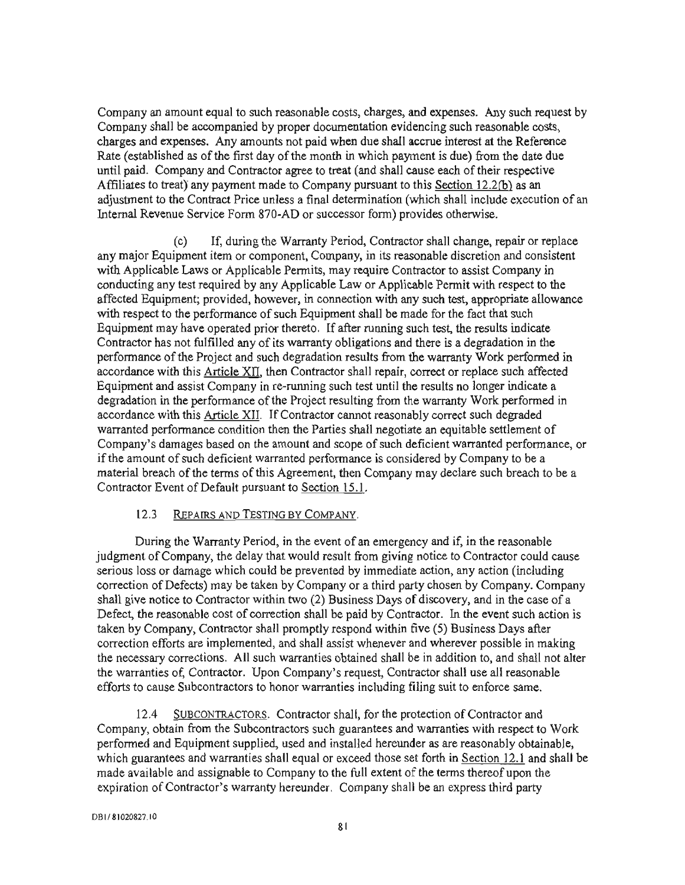Company an amount equal to such reasonable costs, charges, and expenses. Any such request by Company shall be accompanied by proper documentation evidencing such reasonable costs, charges and expenses. Any amounts not paid when due shall accrue interest at the Reference Rate (established as of the first day of the month in which payment is due) from the date due until paid. Company and Contractor agree to treat (and shall cause each of their respective Affiliates to treat) any payment made to Company pursuant to this Section 12.2(b) as an adjustment to the Contract Price unless a final determination (which shall include execution of an Internal Revenue Service Form 870-AD or successor form) provides otherwise.

If, during the Warranty Period, Contractor shall change, repair or replace  $(c)$ any major Equipment item or component, Company, in its reasonable discretion and consistent with Applicable Laws or Applicable Permits, may require Contractor to assist Company in conducting any test required by any Applicable Law or Applicable Permit with respect to the affected Equipment; provided, however, in connection with any such test, appropriate allowance with respect to the performance of such Equipment shall be made for the fact that such Equipment may have operated prior thereto. If after running such test, the results indicate Contractor has not fulfilled any of its warranty obligations and there is a degradation in the performance of the Project and such degradation results from the warranty Work performed in accordance with this Article XII, then Contractor shall repair, correct or replace such affected Equipment and assist Company in re-running such test until the results no longer indicate a degradation in the performance of the Project resulting from the warranty Work performed in accordance with this Article XII. If Contractor cannot reasonably correct such degraded warranted performance condition then the Parties shall negotiate an equitable settlement of Company's damages based on the amount and scope of such deficient warranted performance, or if the amount of such deficient warranted performance is considered by Company to be a material breach of the terms of this Agreement, then Company may declare such breach to be a Contractor Event of Default pursuant to Section 15.1.

#### $12.3$ REPAIRS AND TESTING BY COMPANY.

During the Warranty Period, in the event of an emergency and if, in the reasonable judgment of Company, the delay that would result from giving notice to Contractor could cause serious loss or damage which could be prevented by immediate action, any action (including correction of Defects) may be taken by Company or a third party chosen by Company. Company shall give notice to Contractor within two (2) Business Days of discovery, and in the case of a Defect, the reasonable cost of correction shall be paid by Contractor. In the event such action is taken by Company, Contractor shall promptly respond within five (5) Business Days after correction efforts are implemented, and shall assist whenever and wherever possible in making the necessary corrections. All such warranties obtained shall be in addition to, and shall not alter the warranties of, Contractor. Upon Company's request, Contractor shall use all reasonable efforts to cause Subcontractors to honor warranties including filing suit to enforce same.

SUBCONTRACTORS. Contractor shall, for the protection of Contractor and  $12.4$ Company, obtain from the Subcontractors such guarantees and warranties with respect to Work performed and Equipment supplied, used and installed hereunder as are reasonably obtainable, which guarantees and warranties shall equal or exceed those set forth in Section 12.1 and shall be made available and assignable to Company to the full extent of the terms thereof upon the expiration of Contractor's warranty hereunder. Company shall be an express third party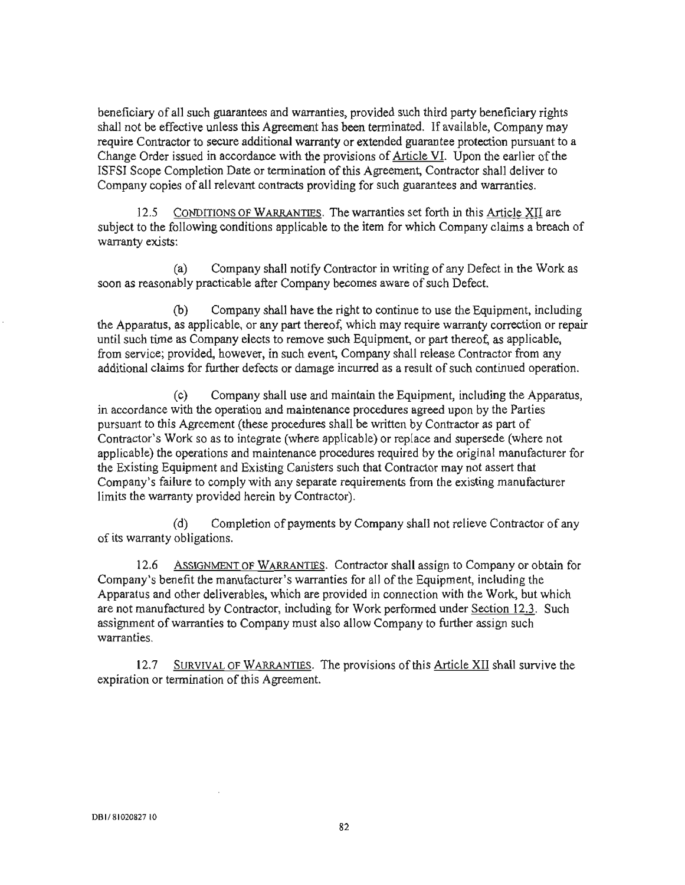beneficiary of all such guarantees and warranties, provided such third party beneficiary rights shall not be effective unless this Agreement has been terminated. If available, Company may require Contractor to secure additional warranty or extended guarantee protection pursuant to a Change Order issued in accordance with the provisions of Article VI. Upon the earlier of the ISFSI Scope Completion Date or termination of this Agreement, Contractor shall deliver to Company copies of all relevant contracts providing for such guarantees and warranties.

CONDITIONS OF WARRANTIES. The warranties set forth in this Article XII are  $12.5$ subject to the following conditions applicable to the item for which Company claims a breach of warranty exists:

Company shall notify Contractor in writing of any Defect in the Work as  $(a)$ soon as reasonably practicable after Company becomes aware of such Defect.

 $(b)$ Company shall have the right to continue to use the Equipment, including the Apparatus, as applicable, or any part thereof, which may require warranty correction or repair until such time as Company elects to remove such Equipment, or part thereof, as applicable, from service; provided, however, in such event, Company shall release Contractor from any additional claims for further defects or damage incurred as a result of such continued operation.

Company shall use and maintain the Equipment, including the Apparatus.  $(c)$ in accordance with the operation and maintenance procedures agreed upon by the Parties pursuant to this Agreement (these procedures shall be written by Contractor as part of Contractor's Work so as to integrate (where applicable) or replace and supersede (where not applicable) the operations and maintenance procedures required by the original manufacturer for the Existing Equipment and Existing Canisters such that Contractor may not assert that Company's failure to comply with any separate requirements from the existing manufacturer limits the warranty provided herein by Contractor).

Completion of payments by Company shall not relieve Contractor of any  $(d)$ of its warranty obligations.

ASSIGNMENT OF WARRANTIES. Contractor shall assign to Company or obtain for  $12.6$ Company's benefit the manufacturer's warranties for all of the Equipment, including the Apparatus and other deliverables, which are provided in connection with the Work, but which are not manufactured by Contractor, including for Work performed under Section 12.3. Such assignment of warranties to Company must also allow Company to further assign such warranties.

SURVIVAL OF WARRANTIES. The provisions of this Article XII shall survive the  $12.7$ expiration or termination of this Agreement.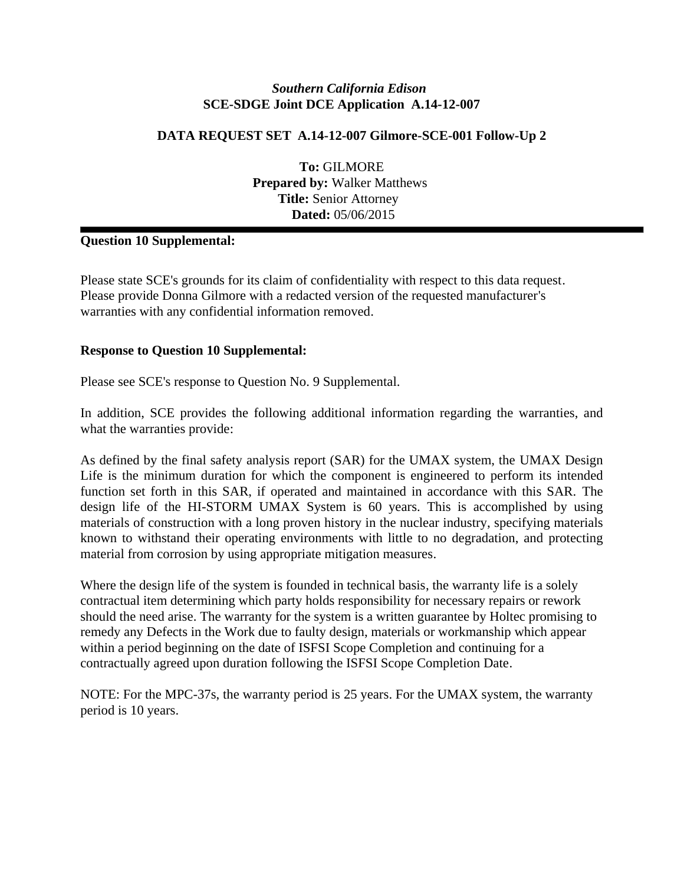# **DATA REQUEST SET A.14-12-007 Gilmore-SCE-001 Follow-Up 2**

**To:** GILMORE **Prepared by:** Walker Matthews **Title:** Senior Attorney **Dated:** 05/06/2015

# **Question 10 Supplemental:**

Please state SCE's grounds for its claim of confidentiality with respect to this data request. Please provide Donna Gilmore with a redacted version of the requested manufacturer's warranties with any confidential information removed.

#### **Response to Question 10 Supplemental:**

Please see SCE's response to Question No. 9 Supplemental.

In addition, SCE provides the following additional information regarding the warranties, and what the warranties provide:

As defined by the final safety analysis report (SAR) for the UMAX system, the UMAX Design Life is the minimum duration for which the component is engineered to perform its intended function set forth in this SAR, if operated and maintained in accordance with this SAR. The design life of the HI-STORM UMAX System is 60 years. This is accomplished by using materials of construction with a long proven history in the nuclear industry, specifying materials known to withstand their operating environments with little to no degradation, and protecting material from corrosion by using appropriate mitigation measures.

Where the design life of the system is founded in technical basis, the warranty life is a solely contractual item determining which party holds responsibility for necessary repairs or rework should the need arise. The warranty for the system is a written guarantee by Holtec promising to remedy any Defects in the Work due to faulty design, materials or workmanship which appear within a period beginning on the date of ISFSI Scope Completion and continuing for a contractually agreed upon duration following the ISFSI Scope Completion Date.

NOTE: For the MPC-37s, the warranty period is 25 years. For the UMAX system, the warranty period is 10 years.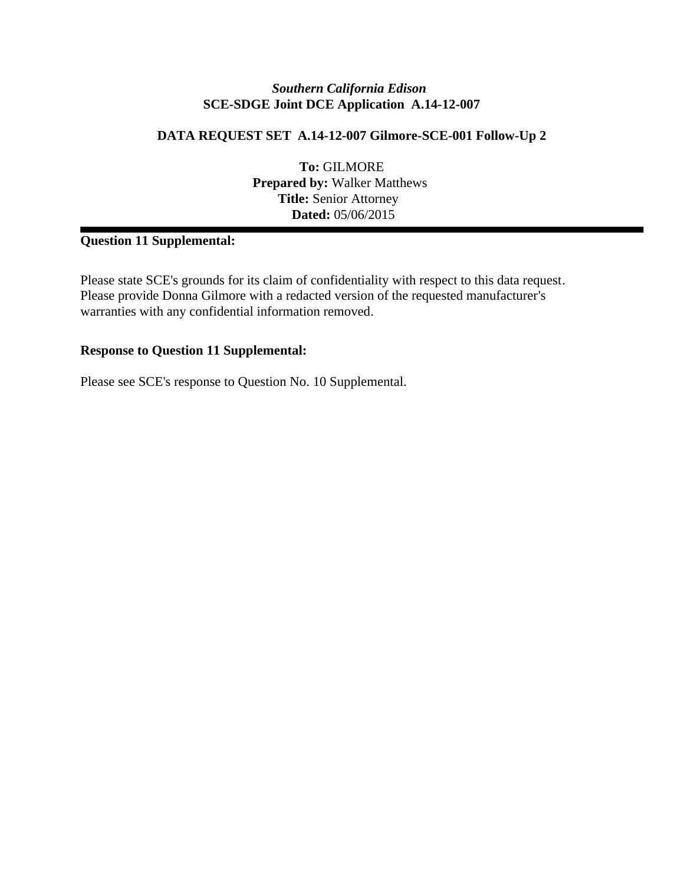### **DATA REQUEST SET A.14-12-007 Gilmore-SCE-001 Follow-Up 2**

**To:** GILMORE **Prepared by:** Walker Matthews **Title:** Senior Attorney **Dated:** 05/06/2015

# **Question 11 Supplemental:**

Please state SCE's grounds for its claim of confidentiality with respect to this data request. Please provide Donna Gilmore with a redacted version of the requested manufacturer's warranties with any confidential information removed.

#### **Response to Question 11 Supplemental:**

Please see SCE's response to Question No. 10 Supplemental.